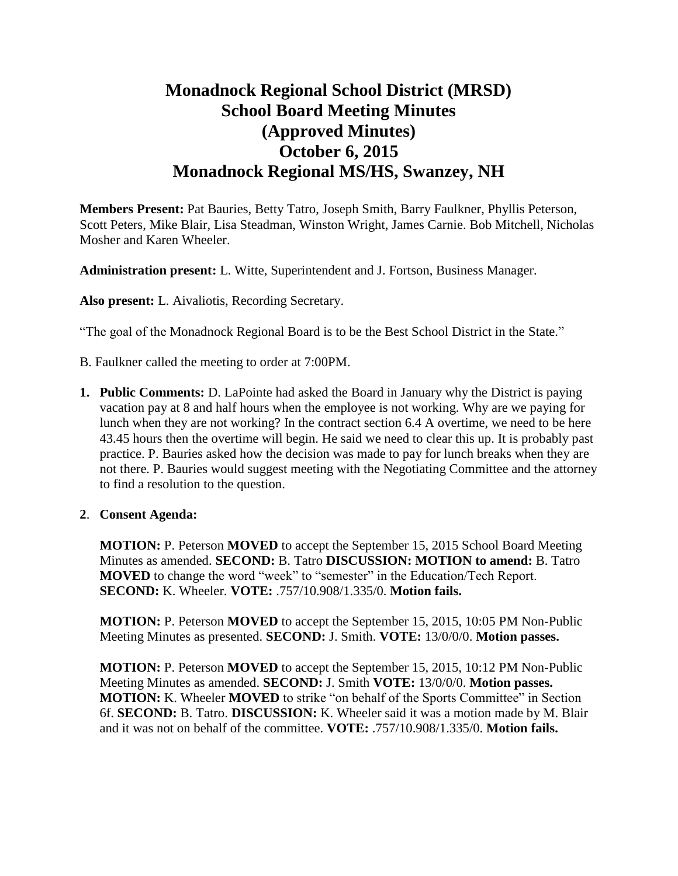# **Monadnock Regional School District (MRSD) School Board Meeting Minutes (Approved Minutes) October 6, 2015 Monadnock Regional MS/HS, Swanzey, NH**

**Members Present:** Pat Bauries, Betty Tatro, Joseph Smith, Barry Faulkner, Phyllis Peterson, Scott Peters, Mike Blair, Lisa Steadman, Winston Wright, James Carnie. Bob Mitchell, Nicholas Mosher and Karen Wheeler.

**Administration present:** L. Witte, Superintendent and J. Fortson, Business Manager.

**Also present:** L. Aivaliotis, Recording Secretary.

"The goal of the Monadnock Regional Board is to be the Best School District in the State."

B. Faulkner called the meeting to order at 7:00PM.

**1. Public Comments:** D. LaPointe had asked the Board in January why the District is paying vacation pay at 8 and half hours when the employee is not working. Why are we paying for lunch when they are not working? In the contract section 6.4 A overtime, we need to be here 43.45 hours then the overtime will begin. He said we need to clear this up. It is probably past practice. P. Bauries asked how the decision was made to pay for lunch breaks when they are not there. P. Bauries would suggest meeting with the Negotiating Committee and the attorney to find a resolution to the question.

#### **2**. **Consent Agenda:**

**MOTION:** P. Peterson **MOVED** to accept the September 15, 2015 School Board Meeting Minutes as amended. **SECOND:** B. Tatro **DISCUSSION: MOTION to amend:** B. Tatro **MOVED** to change the word "week" to "semester" in the Education/Tech Report. **SECOND:** K. Wheeler. **VOTE:** .757/10.908/1.335/0. **Motion fails.** 

**MOTION:** P. Peterson **MOVED** to accept the September 15, 2015, 10:05 PM Non-Public Meeting Minutes as presented. **SECOND:** J. Smith. **VOTE:** 13/0/0/0. **Motion passes.** 

**MOTION:** P. Peterson **MOVED** to accept the September 15, 2015, 10:12 PM Non-Public Meeting Minutes as amended. **SECOND:** J. Smith **VOTE:** 13/0/0/0. **Motion passes. MOTION:** K. Wheeler **MOVED** to strike "on behalf of the Sports Committee" in Section 6f. **SECOND:** B. Tatro. **DISCUSSION:** K. Wheeler said it was a motion made by M. Blair and it was not on behalf of the committee. **VOTE:** .757/10.908/1.335/0. **Motion fails.**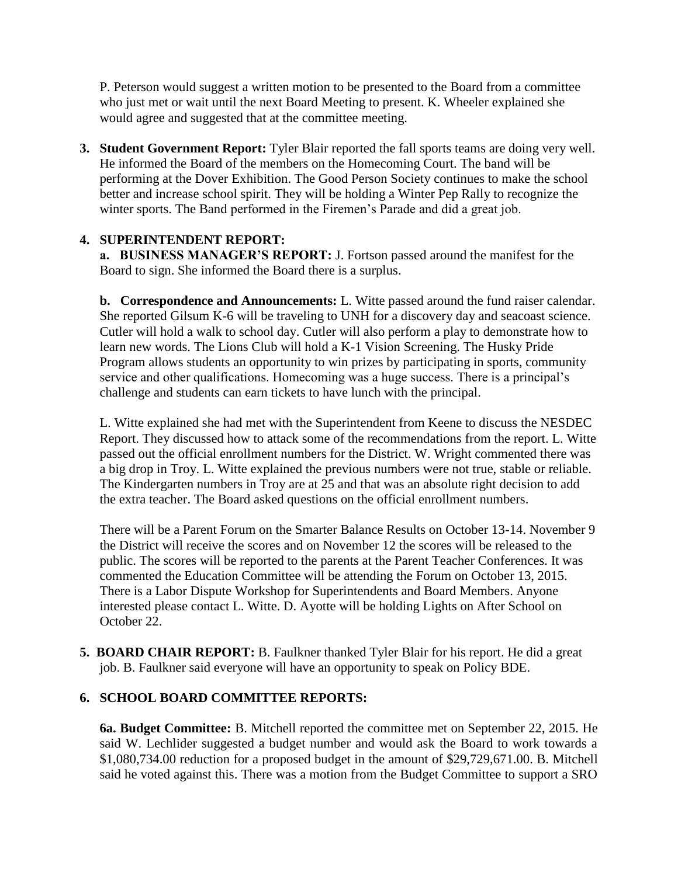P. Peterson would suggest a written motion to be presented to the Board from a committee who just met or wait until the next Board Meeting to present. K. Wheeler explained she would agree and suggested that at the committee meeting.

**3. Student Government Report:** Tyler Blair reported the fall sports teams are doing very well. He informed the Board of the members on the Homecoming Court. The band will be performing at the Dover Exhibition. The Good Person Society continues to make the school better and increase school spirit. They will be holding a Winter Pep Rally to recognize the winter sports. The Band performed in the Firemen's Parade and did a great job.

## **4. SUPERINTENDENT REPORT:**

 **a. BUSINESS MANAGER'S REPORT:** J. Fortson passed around the manifest for the Board to sign. She informed the Board there is a surplus.

**b. Correspondence and Announcements:** L. Witte passed around the fund raiser calendar. She reported Gilsum K-6 will be traveling to UNH for a discovery day and seacoast science. Cutler will hold a walk to school day. Cutler will also perform a play to demonstrate how to learn new words. The Lions Club will hold a K-1 Vision Screening. The Husky Pride Program allows students an opportunity to win prizes by participating in sports, community service and other qualifications. Homecoming was a huge success. There is a principal's challenge and students can earn tickets to have lunch with the principal.

L. Witte explained she had met with the Superintendent from Keene to discuss the NESDEC Report. They discussed how to attack some of the recommendations from the report. L. Witte passed out the official enrollment numbers for the District. W. Wright commented there was a big drop in Troy. L. Witte explained the previous numbers were not true, stable or reliable. The Kindergarten numbers in Troy are at 25 and that was an absolute right decision to add the extra teacher. The Board asked questions on the official enrollment numbers.

There will be a Parent Forum on the Smarter Balance Results on October 13-14. November 9 the District will receive the scores and on November 12 the scores will be released to the public. The scores will be reported to the parents at the Parent Teacher Conferences. It was commented the Education Committee will be attending the Forum on October 13, 2015. There is a Labor Dispute Workshop for Superintendents and Board Members. Anyone interested please contact L. Witte. D. Ayotte will be holding Lights on After School on October 22.

**5. BOARD CHAIR REPORT:** B. Faulkner thanked Tyler Blair for his report. He did a great job. B. Faulkner said everyone will have an opportunity to speak on Policy BDE.

## **6. SCHOOL BOARD COMMITTEE REPORTS:**

**6a. Budget Committee:** B. Mitchell reported the committee met on September 22, 2015. He said W. Lechlider suggested a budget number and would ask the Board to work towards a \$1,080,734.00 reduction for a proposed budget in the amount of \$29,729,671.00. B. Mitchell said he voted against this. There was a motion from the Budget Committee to support a SRO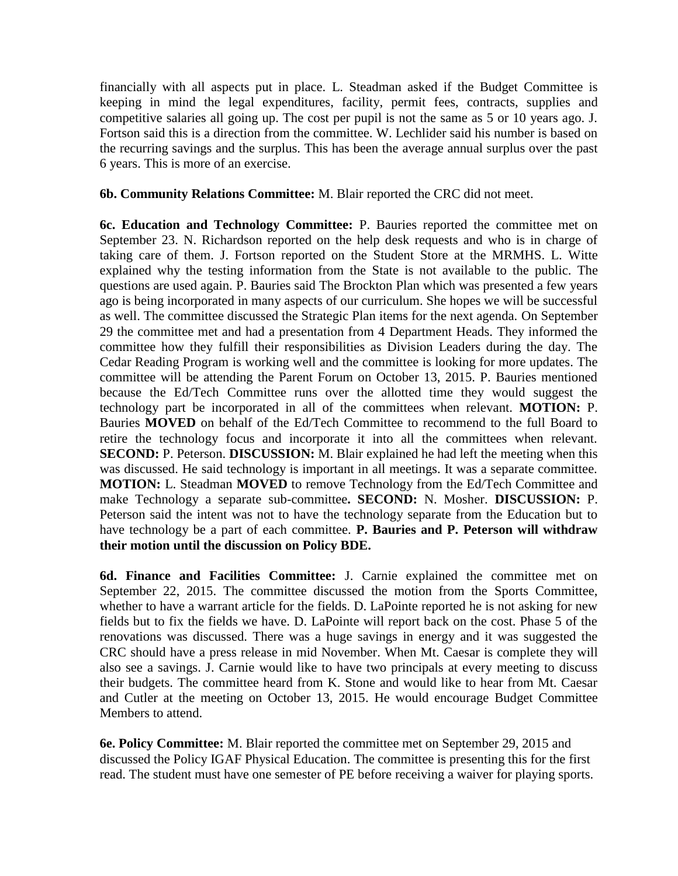financially with all aspects put in place. L. Steadman asked if the Budget Committee is keeping in mind the legal expenditures, facility, permit fees, contracts, supplies and competitive salaries all going up. The cost per pupil is not the same as 5 or 10 years ago. J. Fortson said this is a direction from the committee. W. Lechlider said his number is based on the recurring savings and the surplus. This has been the average annual surplus over the past 6 years. This is more of an exercise.

**6b. Community Relations Committee:** M. Blair reported the CRC did not meet.

 **6c. Education and Technology Committee:** P. Bauries reported the committee met on September 23. N. Richardson reported on the help desk requests and who is in charge of taking care of them. J. Fortson reported on the Student Store at the MRMHS. L. Witte explained why the testing information from the State is not available to the public. The questions are used again. P. Bauries said The Brockton Plan which was presented a few years ago is being incorporated in many aspects of our curriculum. She hopes we will be successful as well. The committee discussed the Strategic Plan items for the next agenda. On September 29 the committee met and had a presentation from 4 Department Heads. They informed the committee how they fulfill their responsibilities as Division Leaders during the day. The Cedar Reading Program is working well and the committee is looking for more updates. The committee will be attending the Parent Forum on October 13, 2015. P. Bauries mentioned because the Ed/Tech Committee runs over the allotted time they would suggest the technology part be incorporated in all of the committees when relevant. **MOTION:** P. Bauries **MOVED** on behalf of the Ed/Tech Committee to recommend to the full Board to retire the technology focus and incorporate it into all the committees when relevant. **SECOND:** P. Peterson. **DISCUSSION:** M. Blair explained he had left the meeting when this was discussed. He said technology is important in all meetings. It was a separate committee. **MOTION:** L. Steadman **MOVED** to remove Technology from the Ed/Tech Committee and make Technology a separate sub-committee**. SECOND:** N. Mosher. **DISCUSSION:** P. Peterson said the intent was not to have the technology separate from the Education but to have technology be a part of each committee. **P. Bauries and P. Peterson will withdraw their motion until the discussion on Policy BDE.** 

 **6d. Finance and Facilities Committee:** J. Carnie explained the committee met on September 22, 2015. The committee discussed the motion from the Sports Committee, whether to have a warrant article for the fields. D. LaPointe reported he is not asking for new fields but to fix the fields we have. D. LaPointe will report back on the cost. Phase 5 of the renovations was discussed. There was a huge savings in energy and it was suggested the CRC should have a press release in mid November. When Mt. Caesar is complete they will also see a savings. J. Carnie would like to have two principals at every meeting to discuss their budgets. The committee heard from K. Stone and would like to hear from Mt. Caesar and Cutler at the meeting on October 13, 2015. He would encourage Budget Committee Members to attend.

**6e. Policy Committee:** M. Blair reported the committee met on September 29, 2015 and discussed the Policy IGAF Physical Education. The committee is presenting this for the first read. The student must have one semester of PE before receiving a waiver for playing sports.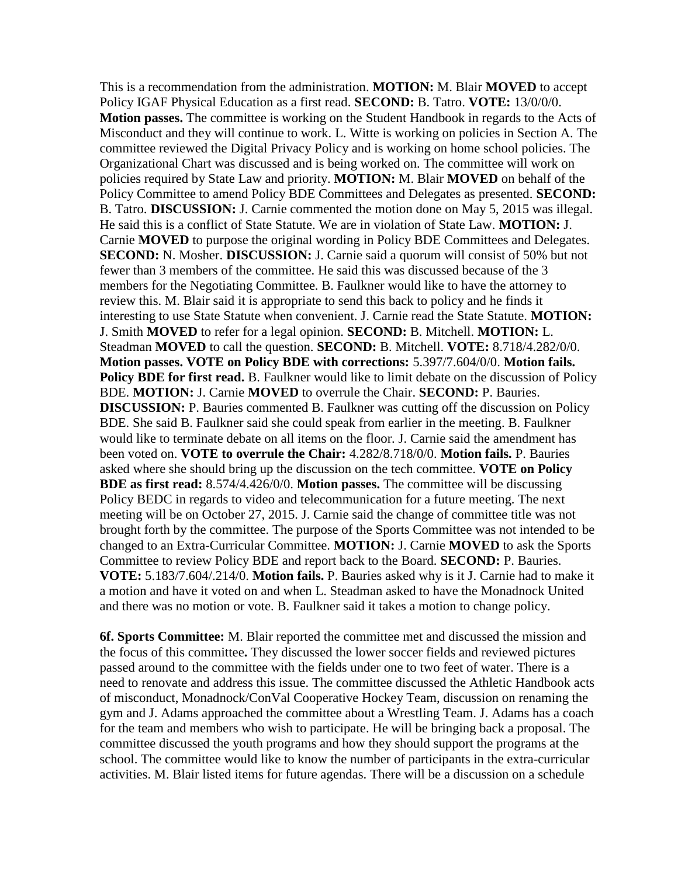This is a recommendation from the administration. **MOTION:** M. Blair **MOVED** to accept Policy IGAF Physical Education as a first read. **SECOND:** B. Tatro. **VOTE:** 13/0/0/0. **Motion passes.** The committee is working on the Student Handbook in regards to the Acts of Misconduct and they will continue to work. L. Witte is working on policies in Section A. The committee reviewed the Digital Privacy Policy and is working on home school policies. The Organizational Chart was discussed and is being worked on. The committee will work on policies required by State Law and priority. **MOTION:** M. Blair **MOVED** on behalf of the Policy Committee to amend Policy BDE Committees and Delegates as presented. **SECOND:**  B. Tatro. **DISCUSSION:** J. Carnie commented the motion done on May 5, 2015 was illegal. He said this is a conflict of State Statute. We are in violation of State Law. **MOTION:** J. Carnie **MOVED** to purpose the original wording in Policy BDE Committees and Delegates. **SECOND:** N. Mosher. **DISCUSSION:** J. Carnie said a quorum will consist of 50% but not fewer than 3 members of the committee. He said this was discussed because of the 3 members for the Negotiating Committee. B. Faulkner would like to have the attorney to review this. M. Blair said it is appropriate to send this back to policy and he finds it interesting to use State Statute when convenient. J. Carnie read the State Statute. **MOTION:**  J. Smith **MOVED** to refer for a legal opinion. **SECOND:** B. Mitchell. **MOTION:** L. Steadman **MOVED** to call the question. **SECOND:** B. Mitchell. **VOTE:** 8.718/4.282/0/0. **Motion passes. VOTE on Policy BDE with corrections:** 5.397/7.604/0/0. **Motion fails.**  Policy BDE for first read. B. Faulkner would like to limit debate on the discussion of Policy BDE. **MOTION:** J. Carnie **MOVED** to overrule the Chair. **SECOND:** P. Bauries. **DISCUSSION:** P. Bauries commented B. Faulkner was cutting off the discussion on Policy BDE. She said B. Faulkner said she could speak from earlier in the meeting. B. Faulkner would like to terminate debate on all items on the floor. J. Carnie said the amendment has been voted on. **VOTE to overrule the Chair:** 4.282/8.718/0/0. **Motion fails.** P. Bauries asked where she should bring up the discussion on the tech committee. **VOTE on Policy BDE as first read:** 8.574/4.426/0/0. **Motion passes.** The committee will be discussing Policy BEDC in regards to video and telecommunication for a future meeting. The next meeting will be on October 27, 2015. J. Carnie said the change of committee title was not brought forth by the committee. The purpose of the Sports Committee was not intended to be changed to an Extra-Curricular Committee. **MOTION:** J. Carnie **MOVED** to ask the Sports Committee to review Policy BDE and report back to the Board. **SECOND:** P. Bauries. **VOTE:** 5.183/7.604/.214/0. **Motion fails.** P. Bauries asked why is it J. Carnie had to make it a motion and have it voted on and when L. Steadman asked to have the Monadnock United and there was no motion or vote. B. Faulkner said it takes a motion to change policy.

**6f. Sports Committee:** M. Blair reported the committee met and discussed the mission and the focus of this committee**.** They discussed the lower soccer fields and reviewed pictures passed around to the committee with the fields under one to two feet of water. There is a need to renovate and address this issue. The committee discussed the Athletic Handbook acts of misconduct, Monadnock/ConVal Cooperative Hockey Team, discussion on renaming the gym and J. Adams approached the committee about a Wrestling Team. J. Adams has a coach for the team and members who wish to participate. He will be bringing back a proposal. The committee discussed the youth programs and how they should support the programs at the school. The committee would like to know the number of participants in the extra-curricular activities. M. Blair listed items for future agendas. There will be a discussion on a schedule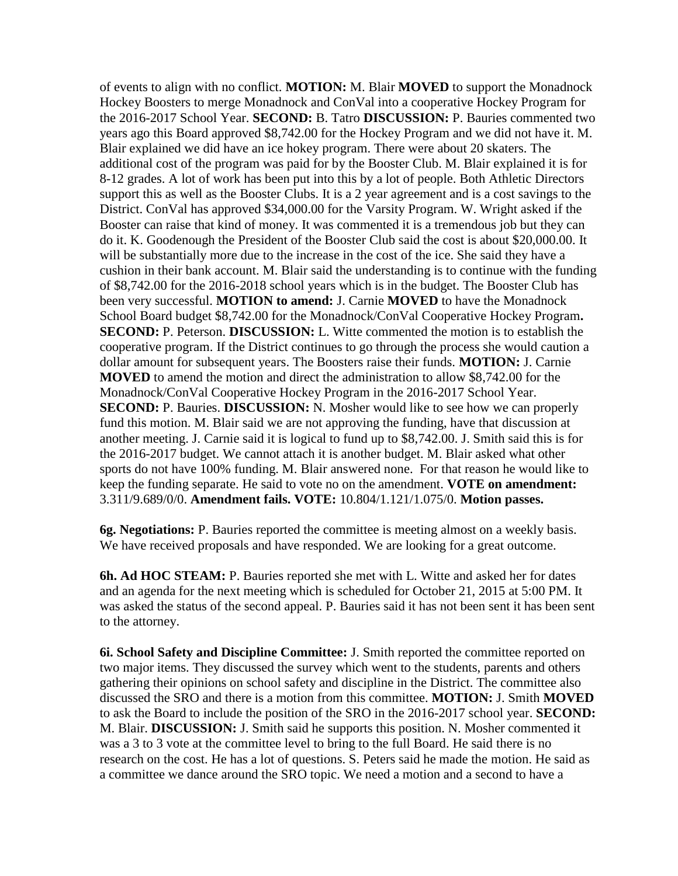of events to align with no conflict. **MOTION:** M. Blair **MOVED** to support the Monadnock Hockey Boosters to merge Monadnock and ConVal into a cooperative Hockey Program for the 2016-2017 School Year. **SECOND:** B. Tatro **DISCUSSION:** P. Bauries commented two years ago this Board approved \$8,742.00 for the Hockey Program and we did not have it. M. Blair explained we did have an ice hokey program. There were about 20 skaters. The additional cost of the program was paid for by the Booster Club. M. Blair explained it is for 8-12 grades. A lot of work has been put into this by a lot of people. Both Athletic Directors support this as well as the Booster Clubs. It is a 2 year agreement and is a cost savings to the District. ConVal has approved \$34,000.00 for the Varsity Program. W. Wright asked if the Booster can raise that kind of money. It was commented it is a tremendous job but they can do it. K. Goodenough the President of the Booster Club said the cost is about \$20,000.00. It will be substantially more due to the increase in the cost of the ice. She said they have a cushion in their bank account. M. Blair said the understanding is to continue with the funding of \$8,742.00 for the 2016-2018 school years which is in the budget. The Booster Club has been very successful. **MOTION to amend:** J. Carnie **MOVED** to have the Monadnock School Board budget \$8,742.00 for the Monadnock/ConVal Cooperative Hockey Program**. SECOND:** P. Peterson. **DISCUSSION:** L. Witte commented the motion is to establish the cooperative program. If the District continues to go through the process she would caution a dollar amount for subsequent years. The Boosters raise their funds. **MOTION:** J. Carnie **MOVED** to amend the motion and direct the administration to allow \$8,742.00 for the Monadnock/ConVal Cooperative Hockey Program in the 2016-2017 School Year. **SECOND:** P. Bauries. **DISCUSSION:** N. Mosher would like to see how we can properly fund this motion. M. Blair said we are not approving the funding, have that discussion at another meeting. J. Carnie said it is logical to fund up to \$8,742.00. J. Smith said this is for the 2016-2017 budget. We cannot attach it is another budget. M. Blair asked what other sports do not have 100% funding. M. Blair answered none. For that reason he would like to keep the funding separate. He said to vote no on the amendment. **VOTE on amendment:**  3.311/9.689/0/0. **Amendment fails. VOTE:** 10.804/1.121/1.075/0. **Motion passes.** 

**6g. Negotiations:** P. Bauries reported the committee is meeting almost on a weekly basis. We have received proposals and have responded. We are looking for a great outcome.

**6h. Ad HOC STEAM:** P. Bauries reported she met with L. Witte and asked her for dates and an agenda for the next meeting which is scheduled for October 21, 2015 at 5:00 PM. It was asked the status of the second appeal. P. Bauries said it has not been sent it has been sent to the attorney.

**6i. School Safety and Discipline Committee:** J. Smith reported the committee reported on two major items. They discussed the survey which went to the students, parents and others gathering their opinions on school safety and discipline in the District. The committee also discussed the SRO and there is a motion from this committee. **MOTION:** J. Smith **MOVED**  to ask the Board to include the position of the SRO in the 2016-2017 school year. **SECOND:**  M. Blair. **DISCUSSION:** J. Smith said he supports this position. N. Mosher commented it was a 3 to 3 vote at the committee level to bring to the full Board. He said there is no research on the cost. He has a lot of questions. S. Peters said he made the motion. He said as a committee we dance around the SRO topic. We need a motion and a second to have a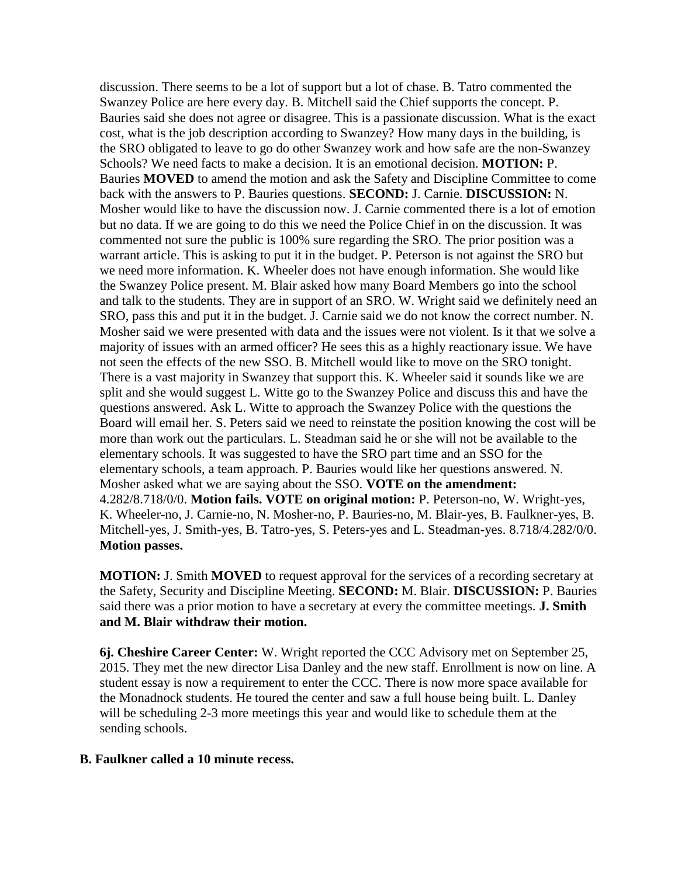discussion. There seems to be a lot of support but a lot of chase. B. Tatro commented the Swanzey Police are here every day. B. Mitchell said the Chief supports the concept. P. Bauries said she does not agree or disagree. This is a passionate discussion. What is the exact cost, what is the job description according to Swanzey? How many days in the building, is the SRO obligated to leave to go do other Swanzey work and how safe are the non-Swanzey Schools? We need facts to make a decision. It is an emotional decision. **MOTION:** P. Bauries **MOVED** to amend the motion and ask the Safety and Discipline Committee to come back with the answers to P. Bauries questions. **SECOND:** J. Carnie. **DISCUSSION:** N. Mosher would like to have the discussion now. J. Carnie commented there is a lot of emotion but no data. If we are going to do this we need the Police Chief in on the discussion. It was commented not sure the public is 100% sure regarding the SRO. The prior position was a warrant article. This is asking to put it in the budget. P. Peterson is not against the SRO but we need more information. K. Wheeler does not have enough information. She would like the Swanzey Police present. M. Blair asked how many Board Members go into the school and talk to the students. They are in support of an SRO. W. Wright said we definitely need an SRO, pass this and put it in the budget. J. Carnie said we do not know the correct number. N. Mosher said we were presented with data and the issues were not violent. Is it that we solve a majority of issues with an armed officer? He sees this as a highly reactionary issue. We have not seen the effects of the new SSO. B. Mitchell would like to move on the SRO tonight. There is a vast majority in Swanzey that support this. K. Wheeler said it sounds like we are split and she would suggest L. Witte go to the Swanzey Police and discuss this and have the questions answered. Ask L. Witte to approach the Swanzey Police with the questions the Board will email her. S. Peters said we need to reinstate the position knowing the cost will be more than work out the particulars. L. Steadman said he or she will not be available to the elementary schools. It was suggested to have the SRO part time and an SSO for the elementary schools, a team approach. P. Bauries would like her questions answered. N. Mosher asked what we are saying about the SSO. **VOTE on the amendment:**  4.282/8.718/0/0. **Motion fails. VOTE on original motion:** P. Peterson-no, W. Wright-yes, K. Wheeler-no, J. Carnie-no, N. Mosher-no, P. Bauries-no, M. Blair-yes, B. Faulkner-yes, B. Mitchell-yes, J. Smith-yes, B. Tatro-yes, S. Peters-yes and L. Steadman-yes. 8.718/4.282/0/0. **Motion passes.** 

**MOTION:** J. Smith **MOVED** to request approval for the services of a recording secretary at the Safety, Security and Discipline Meeting. **SECOND:** M. Blair. **DISCUSSION:** P. Bauries said there was a prior motion to have a secretary at every the committee meetings. **J. Smith and M. Blair withdraw their motion.** 

**6j. Cheshire Career Center:** W. Wright reported the CCC Advisory met on September 25, 2015. They met the new director Lisa Danley and the new staff. Enrollment is now on line. A student essay is now a requirement to enter the CCC. There is now more space available for the Monadnock students. He toured the center and saw a full house being built. L. Danley will be scheduling 2-3 more meetings this year and would like to schedule them at the sending schools.

#### **B. Faulkner called a 10 minute recess.**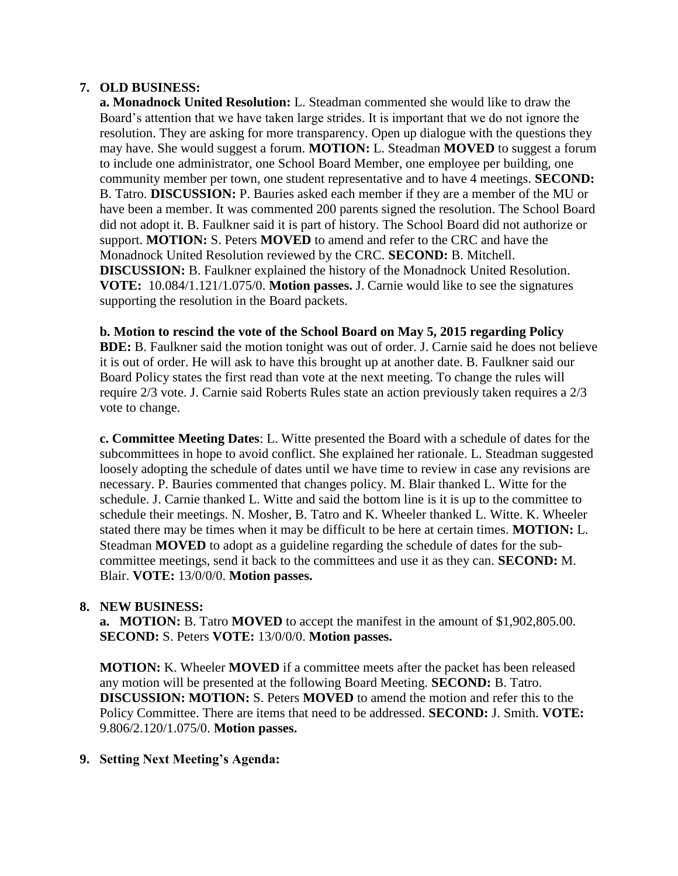### **7. OLD BUSINESS:**

 **a. Monadnock United Resolution:** L. Steadman commented she would like to draw the Board's attention that we have taken large strides. It is important that we do not ignore the resolution. They are asking for more transparency. Open up dialogue with the questions they may have. She would suggest a forum. **MOTION:** L. Steadman **MOVED** to suggest a forum to include one administrator, one School Board Member, one employee per building, one community member per town, one student representative and to have 4 meetings. **SECOND:**  B. Tatro. **DISCUSSION:** P. Bauries asked each member if they are a member of the MU or have been a member. It was commented 200 parents signed the resolution. The School Board did not adopt it. B. Faulkner said it is part of history. The School Board did not authorize or support. **MOTION:** S. Peters **MOVED** to amend and refer to the CRC and have the Monadnock United Resolution reviewed by the CRC. **SECOND:** B. Mitchell. **DISCUSSION:** B. Faulkner explained the history of the Monadnock United Resolution. **VOTE:** 10.084/1.121/1.075/0. **Motion passes.** J. Carnie would like to see the signatures supporting the resolution in the Board packets.

#### **b. Motion to rescind the vote of the School Board on May 5, 2015 regarding Policy**

**BDE:** B. Faulkner said the motion tonight was out of order. J. Carnie said he does not believe it is out of order. He will ask to have this brought up at another date. B. Faulkner said our Board Policy states the first read than vote at the next meeting. To change the rules will require 2/3 vote. J. Carnie said Roberts Rules state an action previously taken requires a 2/3 vote to change.

**c. Committee Meeting Dates**: L. Witte presented the Board with a schedule of dates for the subcommittees in hope to avoid conflict. She explained her rationale. L. Steadman suggested loosely adopting the schedule of dates until we have time to review in case any revisions are necessary. P. Bauries commented that changes policy. M. Blair thanked L. Witte for the schedule. J. Carnie thanked L. Witte and said the bottom line is it is up to the committee to schedule their meetings. N. Mosher, B. Tatro and K. Wheeler thanked L. Witte. K. Wheeler stated there may be times when it may be difficult to be here at certain times. **MOTION:** L. Steadman **MOVED** to adopt as a guideline regarding the schedule of dates for the subcommittee meetings, send it back to the committees and use it as they can. **SECOND:** M. Blair. **VOTE:** 13/0/0/0. **Motion passes.** 

#### **8. NEW BUSINESS:**

**a. MOTION:** B. Tatro **MOVED** to accept the manifest in the amount of \$1,902,805.00. **SECOND:** S. Peters **VOTE:** 13/0/0/0. **Motion passes.**

**MOTION:** K. Wheeler **MOVED** if a committee meets after the packet has been released any motion will be presented at the following Board Meeting. **SECOND:** B. Tatro. **DISCUSSION: MOTION:** S. Peters **MOVED** to amend the motion and refer this to the Policy Committee. There are items that need to be addressed. **SECOND:** J. Smith. **VOTE:**  9.806/2.120/1.075/0. **Motion passes.** 

## **9. Setting Next Meeting's Agenda:**